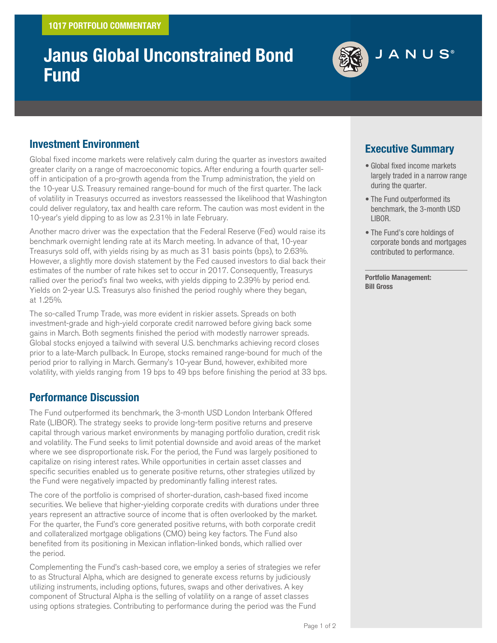# **Janus Global Unconstrained Bond Fund**



## **Investment Environment**

Global fixed income markets were relatively calm during the quarter as investors awaited greater clarity on a range of macroeconomic topics. After enduring a fourth quarter selloff in anticipation of a pro-growth agenda from the Trump administration, the yield on the 10-year U.S. Treasury remained range-bound for much of the first quarter. The lack of volatility in Treasurys occurred as investors reassessed the likelihood that Washington could deliver regulatory, tax and health care reform. The caution was most evident in the 10-year's yield dipping to as low as 2.31% in late February.

Another macro driver was the expectation that the Federal Reserve (Fed) would raise its benchmark overnight lending rate at its March meeting. In advance of that, 10-year Treasurys sold off, with yields rising by as much as 31 basis points (bps), to 2.63%. However, a slightly more dovish statement by the Fed caused investors to dial back their estimates of the number of rate hikes set to occur in 2017. Consequently, Treasurys rallied over the period's final two weeks, with yields dipping to 2.39% by period end. Yields on 2-year U.S. Treasurys also finished the period roughly where they began, at 1.25%.

The so-called Trump Trade, was more evident in riskier assets. Spreads on both investment-grade and high-yield corporate credit narrowed before giving back some gains in March. Both segments finished the period with modestly narrower spreads. Global stocks enjoyed a tailwind with several U.S. benchmarks achieving record closes prior to a late-March pullback. In Europe, stocks remained range-bound for much of the period prior to rallying in March. Germany's 10-year Bund, however, exhibited more volatility, with yields ranging from 19 bps to 49 bps before finishing the period at 33 bps.

## **Performance Discussion**

The Fund outperformed its benchmark, the 3-month USD London Interbank Offered Rate (LIBOR). The strategy seeks to provide long-term positive returns and preserve capital through various market environments by managing portfolio duration, credit risk and volatility. The Fund seeks to limit potential downside and avoid areas of the market where we see disproportionate risk. For the period, the Fund was largely positioned to capitalize on rising interest rates. While opportunities in certain asset classes and specific securities enabled us to generate positive returns, other strategies utilized by the Fund were negatively impacted by predominantly falling interest rates.

The core of the portfolio is comprised of shorter-duration, cash-based fixed income securities. We believe that higher-yielding corporate credits with durations under three years represent an attractive source of income that is often overlooked by the market. For the quarter, the Fund's core generated positive returns, with both corporate credit and collateralized mortgage obligations (CMO) being key factors. The Fund also benefited from its positioning in Mexican inflation-linked bonds, which rallied over the period.

Complementing the Fund's cash-based core, we employ a series of strategies we refer to as Structural Alpha, which are designed to generate excess returns by judiciously utilizing instruments, including options, futures, swaps and other derivatives. A key component of Structural Alpha is the selling of volatility on a range of asset classes using options strategies. Contributing to performance during the period was the Fund

## **Executive Summary**

- Global fixed income markets largely traded in a narrow range during the quarter.
- The Fund outperformed its benchmark, the 3-month USD LIBOR.
- The Fund's core holdings of corporate bonds and mortgages contributed to performance.

**Portfolio Management: Bill Gross**